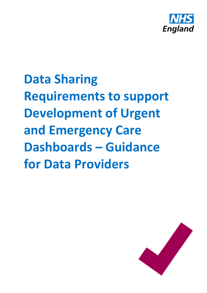

**Data Sharing Requirements to support Development of Urgent and Emergency Care Dashboards – Guidance for Data Providers**

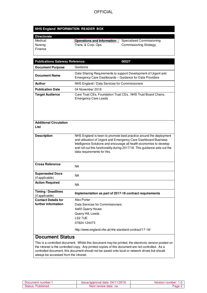### **OFFICIAL**

#### **NHS England INFORMATION READER BOX**

| <b>Directorate</b> |                                   |                               |
|--------------------|-----------------------------------|-------------------------------|
| Medical            | <b>Operations and Information</b> | Specialised Commissioning     |
| Nursing            | Trans. & Corp. Ops.               | <b>Commissioning Strategy</b> |
| Finance            |                                   |                               |

| <b>Publications Gateway Reference:</b>            | 06027                                                                                                                                                                                                                                                                                                                      |  |
|---------------------------------------------------|----------------------------------------------------------------------------------------------------------------------------------------------------------------------------------------------------------------------------------------------------------------------------------------------------------------------------|--|
| <b>Document Purpose</b>                           | Guidance                                                                                                                                                                                                                                                                                                                   |  |
| <b>Document Name</b>                              | Data Sharing Requirements to support Development of Urgent and<br>Emergency Care Dashboards - Guidance for Data Providers                                                                                                                                                                                                  |  |
| <b>Author</b>                                     | NHS England / Data Services for Commisisoners                                                                                                                                                                                                                                                                              |  |
| <b>Publication Date</b>                           | 04 November 2016                                                                                                                                                                                                                                                                                                           |  |
| <b>Target Audience</b>                            | Care Trust CEs, Foundation Trust CEs, NHS Trust Board Chairs,<br><b>Emergency Care Leads</b>                                                                                                                                                                                                                               |  |
| <b>Additional Circulation</b><br>List             |                                                                                                                                                                                                                                                                                                                            |  |
| <b>Description</b>                                | NHS England is keen to promote best practice around the deployment<br>and utilisation of Urgent and Emergency Care Dashboard Business<br>Intelligence Solutions and encourage all health economies to develop<br>and roll out this functionality during 2017/18. This guidance sets out the<br>data requirements for this. |  |
| <b>Cross Reference</b>                            | <b>NA</b>                                                                                                                                                                                                                                                                                                                  |  |
| <b>Superseded Docs</b><br>(if applicable)         | <b>NA</b>                                                                                                                                                                                                                                                                                                                  |  |
| <b>Action Required</b>                            | <b>NA</b>                                                                                                                                                                                                                                                                                                                  |  |
| Timing / Deadlines<br>(if applicable)             | Implementation as part of 2017-18 contract requirements                                                                                                                                                                                                                                                                    |  |
| <b>Contact Details for</b><br>further information | Alex Porter<br>Data Services for Commissioners<br>4e60 Quarry House<br>Quarry Hill, Leeds<br>LS2 7UE<br>07824 124473<br>http://www.england.nhs.uk/nhs-standard-contract/17-18/                                                                                                                                             |  |
| <b>Document Status</b>                            |                                                                                                                                                                                                                                                                                                                            |  |
|                                                   | This is a controlled document. Whilst this document may be printed, the electronic version posted on                                                                                                                                                                                                                       |  |

the intranet is the controlled copy. Any printed copies of this document are not controlled. As a controlled document, this document should not be saved onto local or network drives but should always be accessed from the intranet.

| Document number:1        | Issue/approval date: 04/11/2016 | Version number: 1.0             |
|--------------------------|---------------------------------|---------------------------------|
| <b>Status: Published</b> | Next review date: na            | $\frac{b}{2}$ age $\frac{c}{2}$ |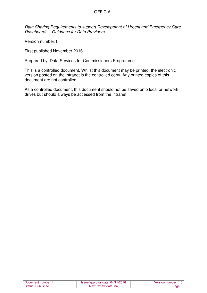#### **OFFICIAL**

Data Sharing Requirements to support Development of Urgent and Emergency Care Dashboards – Guidance for Data Providers

Version number:1

First published November 2016

Prepared by: Data Services for Commissioners Programme

This is a controlled document. Whilst this document may be printed, the electronic version posted on the intranet is the controlled copy. Any printed copies of this document are not controlled.

As a controlled document, this document should not be saved onto local or network drives but should always be accessed from the intranet.

| <b>Document number:</b> | '11/2016<br><b>Issue/approval date:</b> I<br>04/1 | Version<br>number:<br>$1.0^\circ$ |
|-------------------------|---------------------------------------------------|-----------------------------------|
| Status:<br>Published    | Next review date: na                              | ane                               |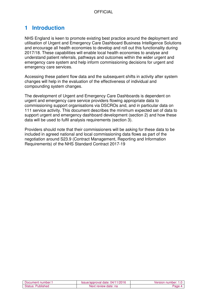# **1 Introduction**

NHS England is keen to promote existing best practice around the deployment and utilisation of Urgent and Emergency Care Dashboard Business Intelligence Solutions and encourage all health economies to develop and roll out this functionality during 2017/18. These capabilities will enable local health economies to analyse and understand patient referrals, pathways and outcomes within the wider urgent and emergency care system and help inform commissioning decisions for urgent and emergency care services.

Accessing these patient flow data and the subsequent shifts in activity after system changes will help in the evaluation of the effectiveness of individual and compounding system changes.

The development of Urgent and Emergency Care Dashboards is dependent on urgent and emergency care service providers flowing appropriate data to commissioning support organisations via DSCROs and, and in particular data on 111 service activity. This document describes the minimum expected set of data to support urgent and emergency dashboard development (section 2) and how these data will be used to fulfil analysis requirements (section 3).

Providers should note that their commissioners will be asking for these data to be included in agreed national and local commissioning data flows as part of the negotiation around S23.9 (Contract Management, Reporting and Information Requirements) of the NHS Standard Contract 2017-19

| Document number:1    | Issue/approval date: 04/11/2016 | Version number:<br>.0 |
|----------------------|---------------------------------|-----------------------|
| Status:<br>Published | Next review date: na            | ∤age                  |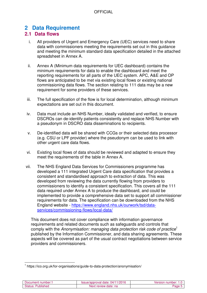# **2 Data Requirement**

### **2.1 Data flows**

- i. All providers of Urgent and Emergency Care (UEC) services need to share data with commissioners meeting the requirements set out in this guidance and meeting the minimum standard data specification detailed in the attached spreadsheet in Annex A.
- ii. Annex A (Minimum data requirements for UEC dashboard) contains the minimum requirements for data to enable the dashboard and meet the reporting requirements for all parts of the UEC system. APC, A&E and OP flows are anticipated to be met via existing local flows or existing national commissioning data flows. The section relating to 111 data may be a new requirement for some providers of these services.
- iii. The full specification of the flow is for local determination, although minimum expectations are set out in this document.
- iv. Data must include an NHS Number, ideally validated and verified, to ensure DSCROs can de-identify patients consistently and replace NHS Number with a pseudonym in DSCRO data disseminations to recipients.
- v. De-identified data will be shared with CCGs or their selected data processor (e.g. CSU or LPF provider) where the pseudonym can be used to link with other urgent care data flows.
- vi. Existing local flows of data should be reviewed and adapted to ensure they meet the requirements of the table in Annex A.
- vii. The NHS England Data Services for Commissioners programme has developed a 111 integrated Urgent Care data specification that provides a consistent and standardised approach to extraction of data. This was developed from reviewing the data currently flowing from providers to commissioners to identify a consistent specification. This covers all the 111 data required under Annex A to produce the dashboard, and could be implemented to provide a comprehensive data set to support all commissioner requirements for data. The specification can be downloaded from the NHS England website - https://www.england.nhs.uk/ourwork/tsd/dataservices/commissioning-flows/local-data/

This document does not cover compliance with information governance requirements and related documents such as safeguards and controls that comply with the Anonymisation: managing data protection risk code of practice<sup>1</sup> published by the Information Commissioner, and data sharing agreements. These aspects will be covered as part of the usual contract negotiations between service providers and commissioners.

 $\overline{\phantom{a}}$ <sup>1</sup> https://ico.org.uk/for-organisations/guide-to-data-protection/anonymisation/

| Document number:     | 1/2016<br><b>Proval</b><br>(14)<br>aate:<br>sue <sup>7</sup><br>zoor | number:<br>∀ersion∟<br>∪. ו |
|----------------------|----------------------------------------------------------------------|-----------------------------|
| Status:<br>'ublished | Next<br>≀ date: na<br>review                                         |                             |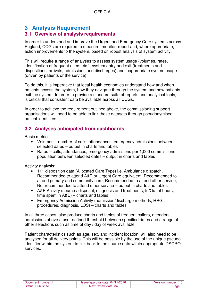# **3 Analysis Requirement**

### **3.1 Overview of analysis requirements**

In order to understand and improve the Urgent and Emergency Care systems across England, CCGs are required to measure, monitor, report and, where appropriate, action improvements to the system, based on robust analysis of system activity.

This will require a range of analyses to assess system usage (volumes, rates, identification of frequent users etc.), system entry and exit (treatments and dispositions, arrivals, admissions and discharges) and inappropriate system usage (driven by patients or the service).

To do this, it is imperative that local health economies understand how and when patients access the system, how they navigate through the system and how patients exit the system. In order to provide a standard suite of reports and analytical tools, it is critical that consistent data be available across all CCGs.

In order to achieve the requirement outlined above, the commissioning support organisations will need to be able to link these datasets through pseudonymised patient identifiers.

## **3.2 Analyses anticipated from dashboards**

Basic metrics:

- Volumes number of calls, attendances, emergency admissions between selected dates – output in charts and tables
- Rates calls, attendances, emergency admissions per 1,000 commissioner population between selected dates – output in charts and tables

Activity analysis:

- 111 disposition data (Allocated Care Type) i.e. Ambulance dispatch, Recommended to attend A&E or Urgent Care equivalent, Recommended to attend primary and community care, Recommended to attend other service, Not recommended to attend other service – output in charts and tables
- A&E Activity (source / disposal, diagnosis and treatments, In/Out of hours, time spent in A&E) – charts and tables
- Emergency Admission Activity (admission/discharge methods, HRGs, procedures, diagnosis, LOS) – charts and tables

In all three cases, also produce charts and tables of frequent callers, attenders, admissions above a user defined threshold between specified dates and a range of other selections such as time of day / day of week available

Patient characteristics such as age, sex, and incident location, will also need to be analysed for all delivery points. This will be possible by the use of the unique pseudo identifier within the system to link back to the source data within appropriate DSCRO services.

| Document number: 1   | 04/11/2016<br>sue/approval date: | Jersion number:<br>.u |
|----------------------|----------------------------------|-----------------------|
| Status:<br>Published | Next review date: na             | aqe,                  |